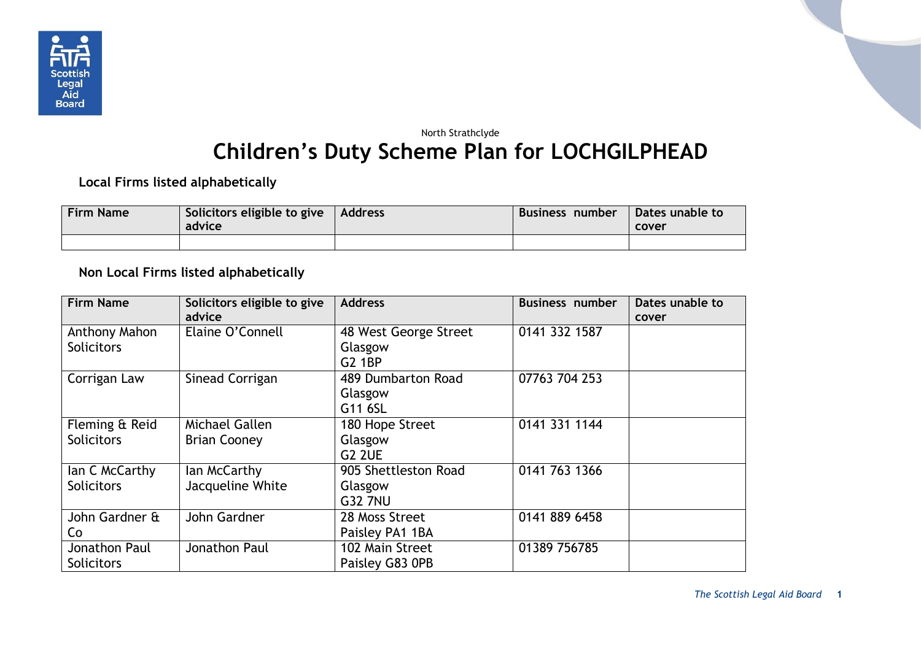

## North Strathclyde **Children's Duty Scheme Plan for LOCHGILPHEAD**

**Local Firms listed alphabetically**

| <b>Firm Name</b> | Solicitors eligible to give<br>advice | <b>Address</b> | Business number | Dates unable to<br>cover |
|------------------|---------------------------------------|----------------|-----------------|--------------------------|
|                  |                                       |                |                 |                          |

**Non Local Firms listed alphabetically**

| <b>Firm Name</b>  | Solicitors eligible to give<br>advice | <b>Address</b>        | <b>Business number</b> | Dates unable to<br>cover |
|-------------------|---------------------------------------|-----------------------|------------------------|--------------------------|
| Anthony Mahon     | Elaine O'Connell                      | 48 West George Street | 0141 332 1587          |                          |
| <b>Solicitors</b> |                                       | Glasgow               |                        |                          |
|                   |                                       | G2 1BP                |                        |                          |
| Corrigan Law      | Sinead Corrigan                       | 489 Dumbarton Road    | 07763 704 253          |                          |
|                   |                                       | Glasgow               |                        |                          |
|                   |                                       | G11 6SL               |                        |                          |
| Fleming & Reid    | Michael Gallen                        | 180 Hope Street       | 0141 331 1144          |                          |
| <b>Solicitors</b> | <b>Brian Cooney</b>                   | Glasgow               |                        |                          |
|                   |                                       | <b>G2 2UE</b>         |                        |                          |
| lan C McCarthy    | lan McCarthy                          | 905 Shettleston Road  | 0141 763 1366          |                          |
| <b>Solicitors</b> | Jacqueline White                      | Glasgow               |                        |                          |
|                   |                                       | <b>G32 7NU</b>        |                        |                          |
| John Gardner &    | John Gardner                          | 28 Moss Street        | 0141 889 6458          |                          |
| Co                |                                       | Paisley PA1 1BA       |                        |                          |
| Jonathon Paul     | Jonathon Paul                         | 102 Main Street       | 01389 756785           |                          |
| <b>Solicitors</b> |                                       | Paisley G83 OPB       |                        |                          |